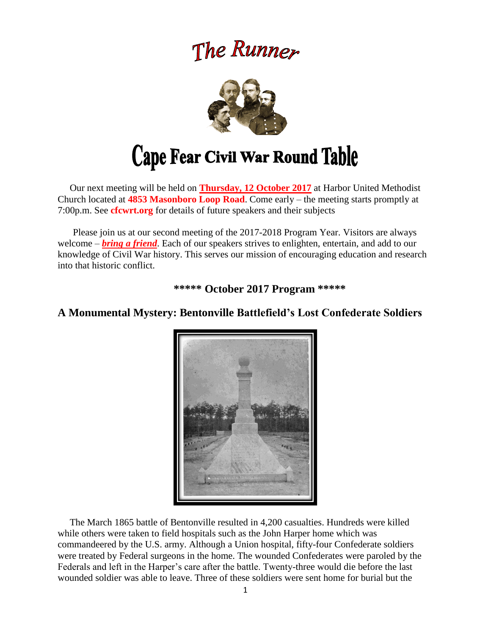# The Runner



 Our next meeting will be held on **Thursday, 12 October 2017** at Harbor United Methodist Church located at **4853 Masonboro Loop Road**. Come early – the meeting starts promptly at 7:00p.m. See **cfcwrt.org** for details of future speakers and their subjects

 Please join us at our second meeting of the 2017-2018 Program Year. Visitors are always welcome – *bring a friend*. Each of our speakers strives to enlighten, entertain, and add to our knowledge of Civil War history. This serves our mission of encouraging education and research into that historic conflict.

**\*\*\*\*\* October 2017 Program \*\*\*\*\***



# **A Monumental Mystery: Bentonville Battlefield's Lost Confederate Soldiers**

 The March 1865 battle of Bentonville resulted in 4,200 casualties. Hundreds were killed while others were taken to field hospitals such as the John Harper home which was commandeered by the U.S. army. Although a Union hospital, fifty-four Confederate soldiers were treated by Federal surgeons in the home. The wounded Confederates were paroled by the Federals and left in the Harper's care after the battle. Twenty-three would die before the last wounded soldier was able to leave. Three of these soldiers were sent home for burial but the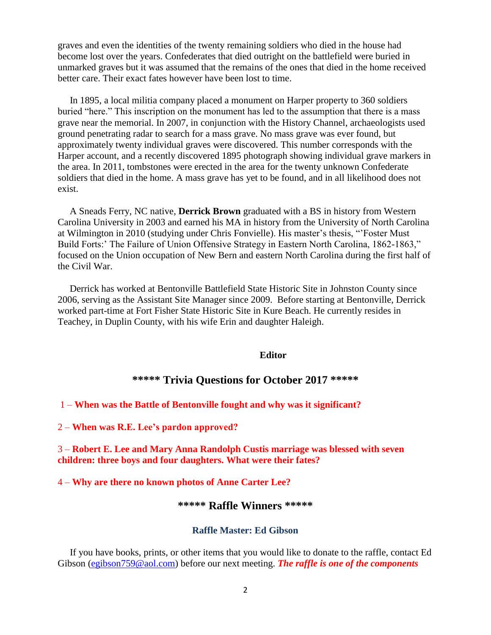graves and even the identities of the twenty remaining soldiers who died in the house had become lost over the years. Confederates that died outright on the battlefield were buried in unmarked graves but it was assumed that the remains of the ones that died in the home received better care. Their exact fates however have been lost to time.

 In 1895, a local militia company placed a monument on Harper property to 360 soldiers buried "here." This inscription on the monument has led to the assumption that there is a mass grave near the memorial. In 2007, in conjunction with the History Channel, archaeologists used ground penetrating radar to search for a mass grave. No mass grave was ever found, but approximately twenty individual graves were discovered. This number corresponds with the Harper account, and a recently discovered 1895 photograph showing individual grave markers in the area. In 2011, tombstones were erected in the area for the twenty unknown Confederate soldiers that died in the home. A mass grave has yet to be found, and in all likelihood does not exist.

 A Sneads Ferry, NC native, **Derrick Brown** graduated with a BS in history from Western Carolina University in 2003 and earned his MA in history from the University of North Carolina at Wilmington in 2010 (studying under Chris Fonvielle). His master's thesis, "'Foster Must Build Forts:' The Failure of Union Offensive Strategy in Eastern North Carolina, 1862-1863," focused on the Union occupation of New Bern and eastern North Carolina during the first half of the Civil War.

 Derrick has worked at Bentonville Battlefield State Historic Site in Johnston County since 2006, serving as the Assistant Site Manager since 2009. Before starting at Bentonville, Derrick worked part-time at Fort Fisher State Historic Site in Kure Beach. He currently resides in Teachey, in Duplin County, with his wife Erin and daughter Haleigh.

#### **Editor**

#### **\*\*\*\*\* Trivia Questions for October 2017 \*\*\*\*\***

#### 1 – **When was the Battle of Bentonville fought and why was it significant?**

2 – **When was R.E. Lee's pardon approved?**

3 – **Robert E. Lee and Mary Anna Randolph Custis marriage was blessed with seven children: three boys and four daughters. What were their fates?**

4 – **Why are there no known photos of Anne Carter Lee?**

#### **\*\*\*\*\* Raffle Winners \*\*\*\*\***

#### **Raffle Master: Ed Gibson**

If you have books, prints, or other items that you would like to donate to the raffle, contact Ed Gibson [\(egibson759@aol.com\)](mailto:egibson759@aol.com) before our next meeting. *The raffle is one of the components*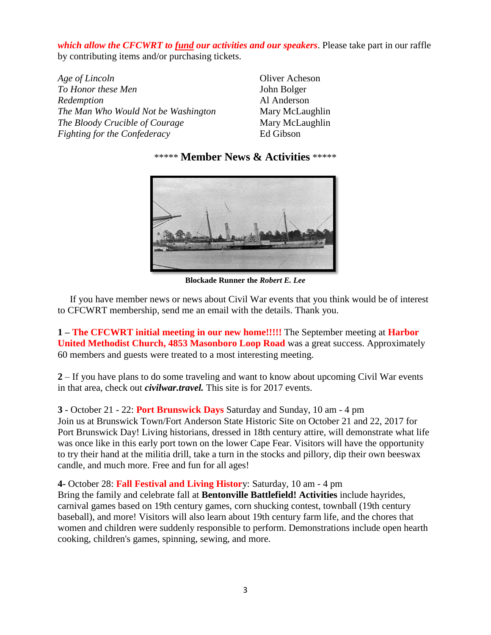*which allow the CFCWRT to fund our activities and our speakers*. Please take part in our raffle by contributing items and/or purchasing tickets.

*Age of Lincoln* Oliver Acheson *To Honor these Men* John Bolger *Redemption* Al Anderson *The Man Who Would Not be Washington* Mary McLaughlin *The Bloody Crucible of Courage* Mary McLaughlin *Fighting for the Confederacy* Ed Gibson

\*\*\*\*\* **Member News & Activities** \*\*\*\*\*



**Blockade Runner the** *Robert E. Lee*

 If you have member news or news about Civil War events that you think would be of interest to CFCWRT membership, send me an email with the details. Thank you.

**1 – The CFCWRT initial meeting in our new home!!!!!** The September meeting at **Harbor United Methodist Church, 4853 Masonboro Loop Road** was a great success. Approximately 60 members and guests were treated to a most interesting meeting.

**2** – If you have plans to do some traveling and want to know about upcoming Civil War events in that area, check out *civilwar.travel.* This site is for 2017 events.

**3** - October 21 - 22: **Port Brunswick Days** Saturday and Sunday, 10 am - 4 pm Join us at Brunswick Town/Fort Anderson State Historic Site on October 21 and 22, 2017 for Port Brunswick Day! Living historians, dressed in 18th century attire, will demonstrate what life was once like in this early port town on the lower Cape Fear. Visitors will have the opportunity to try their hand at the militia drill, take a turn in the stocks and pillory, dip their own beeswax candle, and much more. Free and fun for all ages!

**4-** October 28: **Fall Festival and Living Histor**y: Saturday, 10 am - 4 pm Bring the family and celebrate fall at **Bentonville Battlefield! Activities** include hayrides, carnival games based on 19th century games, corn shucking contest, townball (19th century baseball), and more! Visitors will also learn about 19th century farm life, and the chores that women and children were suddenly responsible to perform. Demonstrations include open hearth cooking, children's games, spinning, sewing, and more.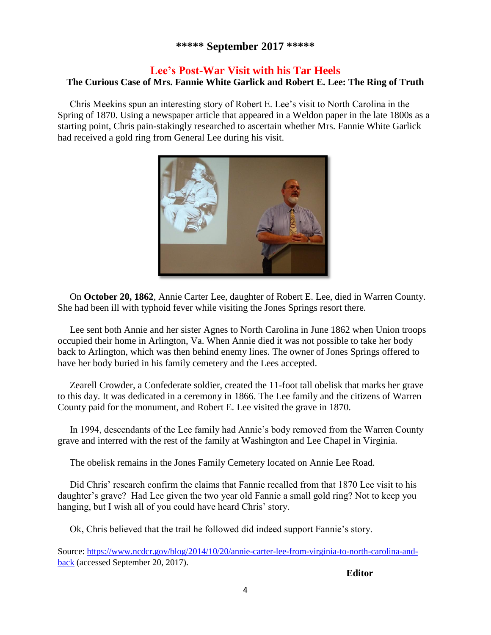# **\*\*\*\*\* September 2017 \*\*\*\*\***

# **Lee's Post-War Visit with his Tar Heels**

# **The Curious Case of Mrs. Fannie White Garlick and Robert E. Lee: The Ring of Truth**

Chris Meekins spun an interesting story of Robert E. Lee's visit to North Carolina in the Spring of 1870. Using a newspaper article that appeared in a Weldon paper in the late 1800s as a starting point, Chris pain-stakingly researched to ascertain whether Mrs. Fannie White Garlick had received a gold ring from General Lee during his visit.



 On **October 20, 1862**, Annie Carter Lee, daughter of Robert E. Lee, died in Warren County. She had been ill with typhoid fever while visiting the Jones Springs resort there.

 Lee sent both Annie and her sister Agnes to North Carolina in June 1862 when Union troops occupied their home in Arlington, Va. When Annie died it was not possible to take her body back to Arlington, which was then behind enemy lines. The owner of Jones Springs offered to have her body buried in his family cemetery and the Lees accepted.

 Zearell Crowder, a Confederate soldier, created the 11-foot tall obelisk that marks her grave to this day. It was dedicated in a ceremony in 1866. The Lee family and the citizens of Warren County paid for the monument, and Robert E. Lee visited the grave in 1870.

 In 1994, descendants of the Lee family had Annie's body removed from the Warren County grave and interred with the rest of the family at Washington and Lee Chapel in Virginia.

The obelisk remains in the Jones Family Cemetery located on Annie Lee Road.

 Did Chris' research confirm the claims that Fannie recalled from that 1870 Lee visit to his daughter's grave? Had Lee given the two year old Fannie a small gold ring? Not to keep you hanging, but I wish all of you could have heard Chris' story.

Ok, Chris believed that the trail he followed did indeed support Fannie's story.

Source: [https://www.ncdcr.gov/blog/2014/10/20/annie-carter-lee-from-virginia-to-north-carolina-and](https://www.ncdcr.gov/blog/2014/10/20/annie-carter-lee-from-virginia-to-north-carolina-and-back)[back](https://www.ncdcr.gov/blog/2014/10/20/annie-carter-lee-from-virginia-to-north-carolina-and-back) (accessed September 20, 2017).

**Editor**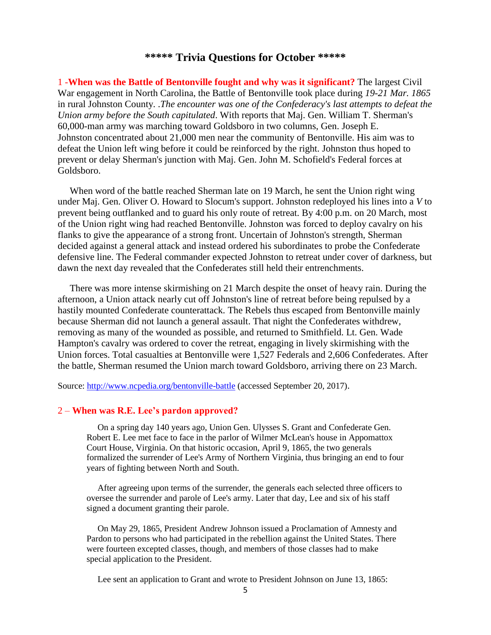### **\*\*\*\*\* Trivia Questions for October \*\*\*\*\***

1 -**When was the Battle of Bentonville fought and why was it significant?** The largest Civil War engagement in North Carolina, the Battle of Bentonville took place during *19-21 Mar. 1865* in rural Johnston County. .*The encounter was one of the Confederacy's last attempts to defeat the Union army before the South capitulated*. With reports that Maj. Gen. William T. Sherman's 60,000-man army was marching toward Goldsboro in two columns, Gen. Joseph E. Johnston concentrated about 21,000 men near the community of Bentonville. His aim was to defeat the Union left wing before it could be reinforced by the right. Johnston thus hoped to prevent or delay Sherman's junction with Maj. Gen. John M. Schofield's Federal forces at Goldsboro.

 When word of the battle reached Sherman late on 19 March, he sent the Union right wing under Maj. Gen. Oliver O. Howard to Slocum's support. Johnston redeployed his lines into a *V* to prevent being outflanked and to guard his only route of retreat. By 4:00 p.m. on 20 March, most of the Union right wing had reached Bentonville. Johnston was forced to deploy cavalry on his flanks to give the appearance of a strong front. Uncertain of Johnston's strength, Sherman decided against a general attack and instead ordered his subordinates to probe the Confederate defensive line. The Federal commander expected Johnston to retreat under cover of darkness, but dawn the next day revealed that the Confederates still held their entrenchments.

 There was more intense skirmishing on 21 March despite the onset of heavy rain. During the afternoon, a Union attack nearly cut off Johnston's line of retreat before being repulsed by a hastily mounted Confederate counterattack. The Rebels thus escaped from Bentonville mainly because Sherman did not launch a general assault. That night the Confederates withdrew, removing as many of the wounded as possible, and returned to Smithfield. Lt. Gen. Wade Hampton's cavalry was ordered to cover the retreat, engaging in lively skirmishing with the Union forces. Total casualties at Bentonville were 1,527 Federals and 2,606 Confederates. After the battle, Sherman resumed the Union march toward Goldsboro, arriving there on 23 March.

Source:<http://www.ncpedia.org/bentonville-battle> (accessed September 20, 2017).

#### 2 – **When was R.E. Lee's pardon approved?**

 On a spring day 140 years ago, Union Gen. Ulysses S. Grant and Confederate Gen. Robert E. Lee met face to face in the parlor of Wilmer McLean's house in Appomattox Court House, Virginia. On that historic occasion, April 9, 1865, the two generals formalized the surrender of Lee's Army of Northern Virginia, thus bringing an end to four years of fighting between North and South.

 After agreeing upon terms of the surrender, the generals each selected three officers to oversee the surrender and parole of Lee's army. Later that day, Lee and six of his staff signed a document granting their parole.

 On May 29, 1865, President Andrew Johnson issued a Proclamation of Amnesty and Pardon to persons who had participated in the rebellion against the United States. There were fourteen excepted classes, though, and members of those classes had to make special application to the President.

Lee sent an application to Grant and wrote to President Johnson on June 13, 1865: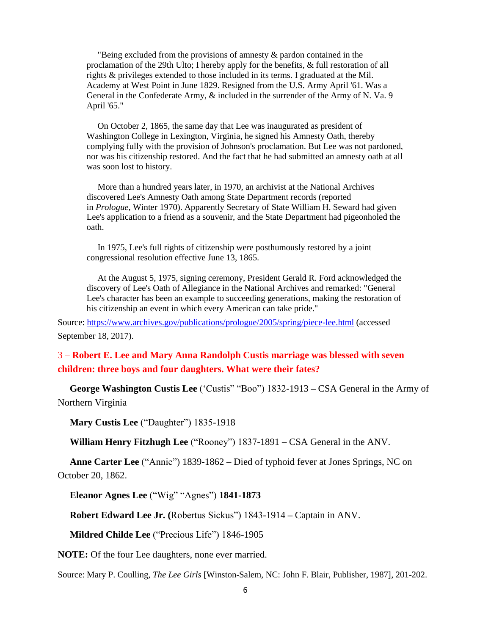"Being excluded from the provisions of amnesty & pardon contained in the proclamation of the 29th Ulto; I hereby apply for the benefits, & full restoration of all rights & privileges extended to those included in its terms. I graduated at the Mil. Academy at West Point in June 1829. Resigned from the U.S. Army April '61. Was a General in the Confederate Army, & included in the surrender of the Army of N. Va. 9 April '65."

 On October 2, 1865, the same day that Lee was inaugurated as president of Washington College in Lexington, Virginia, he signed his Amnesty Oath, thereby complying fully with the provision of Johnson's proclamation. But Lee was not pardoned, nor was his citizenship restored. And the fact that he had submitted an amnesty oath at all was soon lost to history.

 More than a hundred years later, in 1970, an archivist at the National Archives discovered Lee's Amnesty Oath among State Department records (reported in *Prologue,* Winter 1970). Apparently Secretary of State William H. Seward had given Lee's application to a friend as a souvenir, and the State Department had pigeonholed the oath.

 In 1975, Lee's full rights of citizenship were posthumously restored by a joint congressional resolution effective June 13, 1865.

 At the August 5, 1975, signing ceremony, President Gerald R. Ford acknowledged the discovery of Lee's Oath of Allegiance in the National Archives and remarked: "General Lee's character has been an example to succeeding generations, making the restoration of his citizenship an event in which every American can take pride."

Source:<https://www.archives.gov/publications/prologue/2005/spring/piece-lee.html> (accessed September 18, 2017).

3 – **Robert E. Lee and Mary Anna Randolph Custis marriage was blessed with seven children: three boys and four daughters. What were their fates?** 

 **George Washington Custis Lee** ('Custis" "Boo") 1832-1913 **–** CSA General in the Army of Northern Virginia

 **Mary Custis Lee** ("Daughter") 1835-1918

 **William Henry Fitzhugh Lee** ("Rooney") 1837-1891 **–** CSA General in the ANV.

 **Anne Carter Lee** ("Annie") 1839-1862 – Died of typhoid fever at Jones Springs, NC on October 20, 1862.

 **Eleanor Agnes Lee** ("Wig" "Agnes") **1841-1873** 

 **Robert Edward Lee Jr. (**Robertus Sickus") 1843-1914 **–** Captain in ANV.

 **Mildred Childe Lee** ("Precious Life") 1846-1905

**NOTE:** Of the four Lee daughters, none ever married.

Source: Mary P. Coulling, *The Lee Girls* [Winston-Salem, NC: John F. Blair, Publisher, 1987], 201-202.